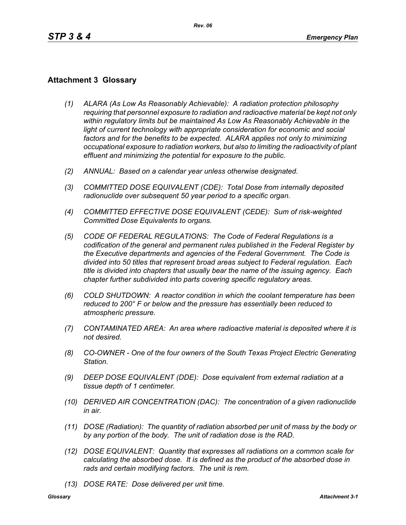## **Attachment 3 Glossary**

- *(1) ALARA (As Low As Reasonably Achievable): A radiation protection philosophy requiring that personnel exposure to radiation and radioactive material be kept not only within regulatory limits but be maintained As Low As Reasonably Achievable in the*  light of current technology with appropriate consideration for economic and social *factors and for the benefits to be expected. ALARA applies not only to minimizing occupational exposure to radiation workers, but also to limiting the radioactivity of plant effluent and minimizing the potential for exposure to the public.*
- *(2) ANNUAL: Based on a calendar year unless otherwise designated.*
- *(3) COMMITTED DOSE EQUIVALENT (CDE): Total Dose from internally deposited radionuclide over subsequent 50 year period to a specific organ.*
- *(4) COMMITTED EFFECTIVE DOSE EQUIVALENT (CEDE): Sum of risk-weighted Committed Dose Equivalents to organs.*
- *(5) CODE OF FEDERAL REGULATIONS: The Code of Federal Regulations is a codification of the general and permanent rules published in the Federal Register by the Executive departments and agencies of the Federal Government. The Code is divided into 50 titles that represent broad areas subject to Federal regulation. Each title is divided into chapters that usually bear the name of the issuing agency. Each chapter further subdivided into parts covering specific regulatory areas.*
- *(6) COLD SHUTDOWN: A reactor condition in which the coolant temperature has been reduced to 200° F or below and the pressure has essentially been reduced to atmospheric pressure.*
- *(7) CONTAMINATED AREA: An area where radioactive material is deposited where it is not desired.*
- *(8) CO-OWNER One of the four owners of the South Texas Project Electric Generating Station.*
- *(9) DEEP DOSE EQUIVALENT (DDE): Dose equivalent from external radiation at a tissue depth of 1 centimeter.*
- *(10) DERIVED AIR CONCENTRATION (DAC): The concentration of a given radionuclide in air.*
- *(11) DOSE (Radiation): The quantity of radiation absorbed per unit of mass by the body or by any portion of the body. The unit of radiation dose is the RAD.*
- *(12) DOSE EQUIVALENT: Quantity that expresses all radiations on a common scale for calculating the absorbed dose. It is defined as the product of the absorbed dose in rads and certain modifying factors. The unit is rem.*
- *(13) DOSE RATE: Dose delivered per unit time.*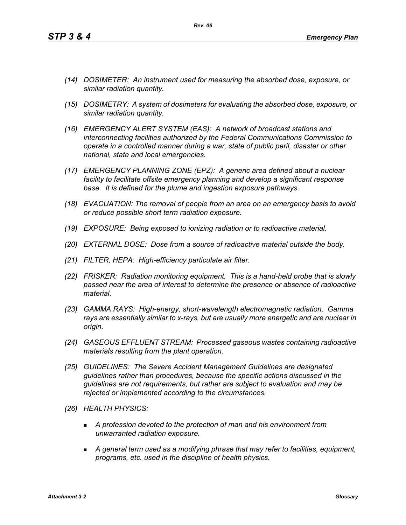- *(14) DOSIMETER: An instrument used for measuring the absorbed dose, exposure, or similar radiation quantity.*
- *(15) DOSIMETRY: A system of dosimeters for evaluating the absorbed dose, exposure, or similar radiation quantity.*
- *(16) EMERGENCY ALERT SYSTEM (EAS): A network of broadcast stations and interconnecting facilities authorized by the Federal Communications Commission to operate in a controlled manner during a war, state of public peril, disaster or other national, state and local emergencies.*
- *(17) EMERGENCY PLANNING ZONE (EPZ): A generic area defined about a nuclear facility to facilitate offsite emergency planning and develop a significant response base. It is defined for the plume and ingestion exposure pathways.*
- *(18) EVACUATION: The removal of people from an area on an emergency basis to avoid or reduce possible short term radiation exposure.*
- *(19) EXPOSURE: Being exposed to ionizing radiation or to radioactive material.*
- *(20) EXTERNAL DOSE: Dose from a source of radioactive material outside the body.*
- *(21) FILTER, HEPA: High-efficiency particulate air filter.*
- *(22) FRISKER: Radiation monitoring equipment. This is a hand-held probe that is slowly passed near the area of interest to determine the presence or absence of radioactive material.*
- *(23) GAMMA RAYS: High-energy, short-wavelength electromagnetic radiation. Gamma rays are essentially similar to x-rays, but are usually more energetic and are nuclear in origin.*
- *(24) GASEOUS EFFLUENT STREAM: Processed gaseous wastes containing radioactive materials resulting from the plant operation.*
- *(25) GUIDELINES: The Severe Accident Management Guidelines are designated guidelines rather than procedures, because the specific actions discussed in the guidelines are not requirements, but rather are subject to evaluation and may be rejected or implemented according to the circumstances.*
- *(26) HEALTH PHYSICS:*
	- *A profession devoted to the protection of man and his environment from unwarranted radiation exposure.*
	- *A general term used as a modifying phrase that may refer to facilities, equipment, programs, etc. used in the discipline of health physics.*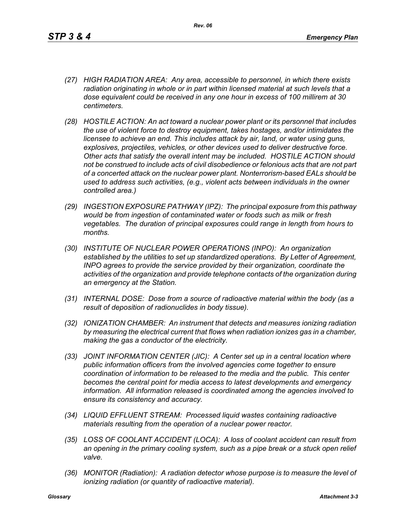- *(27) HIGH RADIATION AREA: Any area, accessible to personnel, in which there exists radiation originating in whole or in part within licensed material at such levels that a dose equivalent could be received in any one hour in excess of 100 millirem at 30 centimeters.*
- *(28) HOSTILE ACTION: An act toward a nuclear power plant or its personnel that includes the use of violent force to destroy equipment, takes hostages, and/or intimidates the licensee to achieve an end. This includes attack by air, land, or water using guns, explosives, projectiles, vehicles, or other devices used to deliver destructive force. Other acts that satisfy the overall intent may be included. HOSTILE ACTION should not be construed to include acts of civil disobedience or felonious acts that are not part of a concerted attack on the nuclear power plant. Nonterrorism-based EALs should be used to address such activities, (e.g., violent acts between individuals in the owner controlled area.)*
- *(29) INGESTION EXPOSURE PATHWAY (IPZ): The principal exposure from this pathway would be from ingestion of contaminated water or foods such as milk or fresh vegetables. The duration of principal exposures could range in length from hours to months.*
- *(30) INSTITUTE OF NUCLEAR POWER OPERATIONS (INPO): An organization established by the utilities to set up standardized operations. By Letter of Agreement, INPO agrees to provide the service provided by their organization, coordinate the activities of the organization and provide telephone contacts of the organization during an emergency at the Station.*
- *(31) INTERNAL DOSE: Dose from a source of radioactive material within the body (as a result of deposition of radionuclides in body tissue).*
- *(32) IONIZATION CHAMBER: An instrument that detects and measures ionizing radiation by measuring the electrical current that flows when radiation ionizes gas in a chamber, making the gas a conductor of the electricity.*
- *(33) JOINT INFORMATION CENTER (JIC): A Center set up in a central location where public information officers from the involved agencies come together to ensure coordination of information to be released to the media and the public. This center becomes the central point for media access to latest developments and emergency information. All information released is coordinated among the agencies involved to ensure its consistency and accuracy.*
- *(34) LIQUID EFFLUENT STREAM: Processed liquid wastes containing radioactive materials resulting from the operation of a nuclear power reactor.*
- *(35) LOSS OF COOLANT ACCIDENT (LOCA): A loss of coolant accident can result from an opening in the primary cooling system, such as a pipe break or a stuck open relief valve.*
- *(36) MONITOR (Radiation): A radiation detector whose purpose is to measure the level of ionizing radiation (or quantity of radioactive material).*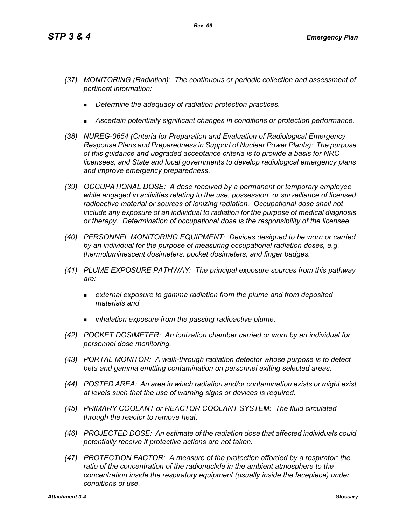- *(37) MONITORING (Radiation): The continuous or periodic collection and assessment of pertinent information:*
	- *Determine the adequacy of radiation protection practices.*
	- *Ascertain potentially significant changes in conditions or protection performance.*
- *(38) NUREG-0654 (Criteria for Preparation and Evaluation of Radiological Emergency Response Plans and Preparedness in Support of Nuclear Power Plants): The purpose of this guidance and upgraded acceptance criteria is to provide a basis for NRC licensees, and State and local governments to develop radiological emergency plans and improve emergency preparedness.*
- *(39) OCCUPATIONAL DOSE: A dose received by a permanent or temporary employee while engaged in activities relating to the use, possession, or surveillance of licensed radioactive material or sources of ionizing radiation. Occupational dose shall not include any exposure of an individual to radiation for the purpose of medical diagnosis or therapy. Determination of occupational dose is the responsibility of the licensee.*
- *(40) PERSONNEL MONITORING EQUIPMENT: Devices designed to be worn or carried by an individual for the purpose of measuring occupational radiation doses, e.g. thermoluminescent dosimeters, pocket dosimeters, and finger badges.*
- *(41) PLUME EXPOSURE PATHWAY: The principal exposure sources from this pathway are:*
	- *external exposure to gamma radiation from the plume and from deposited materials and*
	- *inhalation exposure from the passing radioactive plume.*
- *(42) POCKET DOSIMETER: An ionization chamber carried or worn by an individual for personnel dose monitoring.*
- *(43) PORTAL MONITOR: A walk-through radiation detector whose purpose is to detect beta and gamma emitting contamination on personnel exiting selected areas.*
- *(44) POSTED AREA: An area in which radiation and/or contamination exists or might exist at levels such that the use of warning signs or devices is required.*
- *(45) PRIMARY COOLANT or REACTOR COOLANT SYSTEM: The fluid circulated through the reactor to remove heat.*
- *(46) PROJECTED DOSE: An estimate of the radiation dose that affected individuals could potentially receive if protective actions are not taken.*
- *(47) PROTECTION FACTOR: A measure of the protection afforded by a respirator; the*  ratio of the concentration of the radionuclide in the ambient atmosphere to the *concentration inside the respiratory equipment (usually inside the facepiece) under conditions of use.*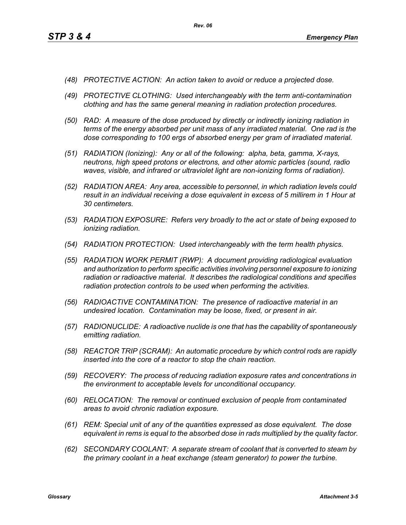- *(48) PROTECTIVE ACTION: An action taken to avoid or reduce a projected dose.*
- *(49) PROTECTIVE CLOTHING: Used interchangeably with the term anti-contamination clothing and has the same general meaning in radiation protection procedures.*
- *(50) RAD: A measure of the dose produced by directly or indirectly ionizing radiation in terms of the energy absorbed per unit mass of any irradiated material. One rad is the dose corresponding to 100 ergs of absorbed energy per gram of irradiated material.*
- *(51) RADIATION (Ionizing): Any or all of the following: alpha, beta, gamma, X-rays, neutrons, high speed protons or electrons, and other atomic particles (sound, radio waves, visible, and infrared or ultraviolet light are non-ionizing forms of radiation).*
- *(52) RADIATION AREA: Any area, accessible to personnel, in which radiation levels could result in an individual receiving a dose equivalent in excess of 5 millirem in 1 Hour at 30 centimeters.*
- *(53) RADIATION EXPOSURE: Refers very broadly to the act or state of being exposed to ionizing radiation.*
- *(54) RADIATION PROTECTION: Used interchangeably with the term health physics.*
- *(55) RADIATION WORK PERMIT (RWP): A document providing radiological evaluation and authorization to perform specific activities involving personnel exposure to ionizing radiation or radioactive material. It describes the radiological conditions and specifies radiation protection controls to be used when performing the activities.*
- *(56) RADIOACTIVE CONTAMINATION: The presence of radioactive material in an undesired location. Contamination may be loose, fixed, or present in air.*
- *(57) RADIONUCLIDE: A radioactive nuclide is one that has the capability of spontaneously emitting radiation.*
- *(58) REACTOR TRIP (SCRAM): An automatic procedure by which control rods are rapidly inserted into the core of a reactor to stop the chain reaction.*
- *(59) RECOVERY: The process of reducing radiation exposure rates and concentrations in the environment to acceptable levels for unconditional occupancy.*
- *(60) RELOCATION: The removal or continued exclusion of people from contaminated areas to avoid chronic radiation exposure.*
- *(61) REM: Special unit of any of the quantities expressed as dose equivalent. The dose equivalent in rems is equal to the absorbed dose in rads multiplied by the quality factor.*
- *(62) SECONDARY COOLANT: A separate stream of coolant that is converted to steam by the primary coolant in a heat exchange (steam generator) to power the turbine.*